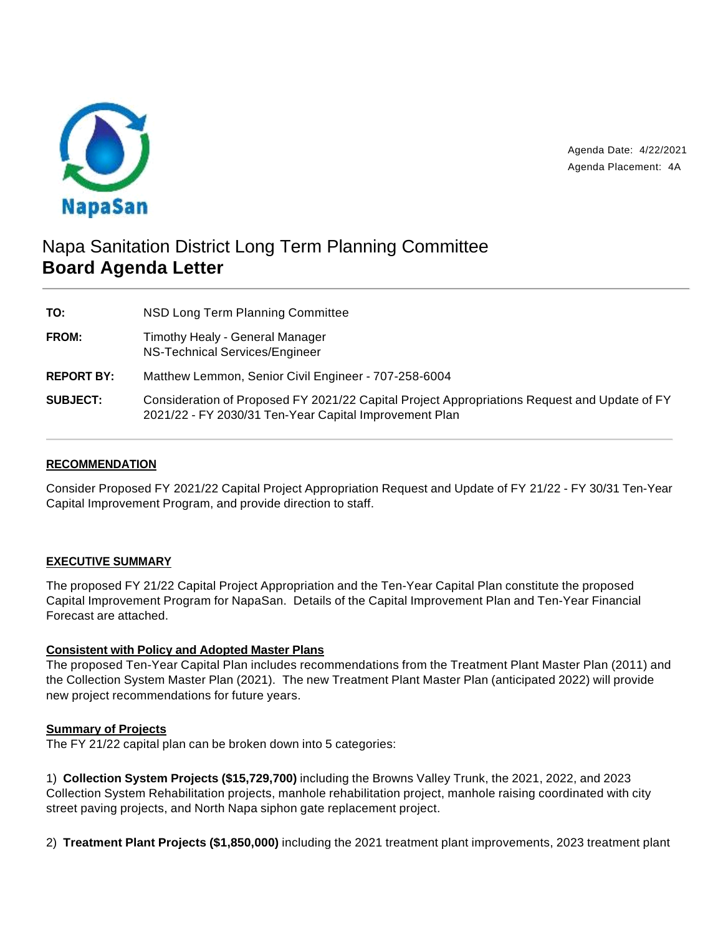

Agenda Date: 4/22/2021 Agenda Placement: 4A

# Napa Sanitation District Long Term Planning Committee **Board Agenda Letter**

**TO:** NSD Long Term Planning Committee **FROM:** Timothy Healy - General Manager NS-Technical Services/Engineer **REPORT BY:** Matthew Lemmon, Senior Civil Engineer - 707-258-6004 **SUBJECT:** Consideration of Proposed FY 2021/22 Capital Project Appropriations Request and Update of FY 2021/22 - FY 2030/31 Ten-Year Capital Improvement Plan

# **RECOMMENDATION**

Consider Proposed FY 2021/22 Capital Project Appropriation Request and Update of FY 21/22 - FY 30/31 Ten-Year Capital Improvement Program, and provide direction to staff.

## **EXECUTIVE SUMMARY**

The proposed FY 21/22 Capital Project Appropriation and the Ten-Year Capital Plan constitute the proposed Capital Improvement Program for NapaSan. Details of the Capital Improvement Plan and Ten-Year Financial Forecast are attached.

## **Consistent with Policy and Adopted Master Plans**

The proposed Ten-Year Capital Plan includes recommendations from the Treatment Plant Master Plan (2011) and the Collection System Master Plan (2021). The new Treatment Plant Master Plan (anticipated 2022) will provide new project recommendations for future years.

## **Summary of Projects**

The FY 21/22 capital plan can be broken down into 5 categories:

1) **Collection System Projects (\$15,729,700)** including the Browns Valley Trunk, the 2021, 2022, and 2023 Collection System Rehabilitation projects, manhole rehabilitation project, manhole raising coordinated with city street paving projects, and North Napa siphon gate replacement project.

2) **Treatment Plant Projects (\$1,850,000)** including the 2021 treatment plant improvements, 2023 treatment plant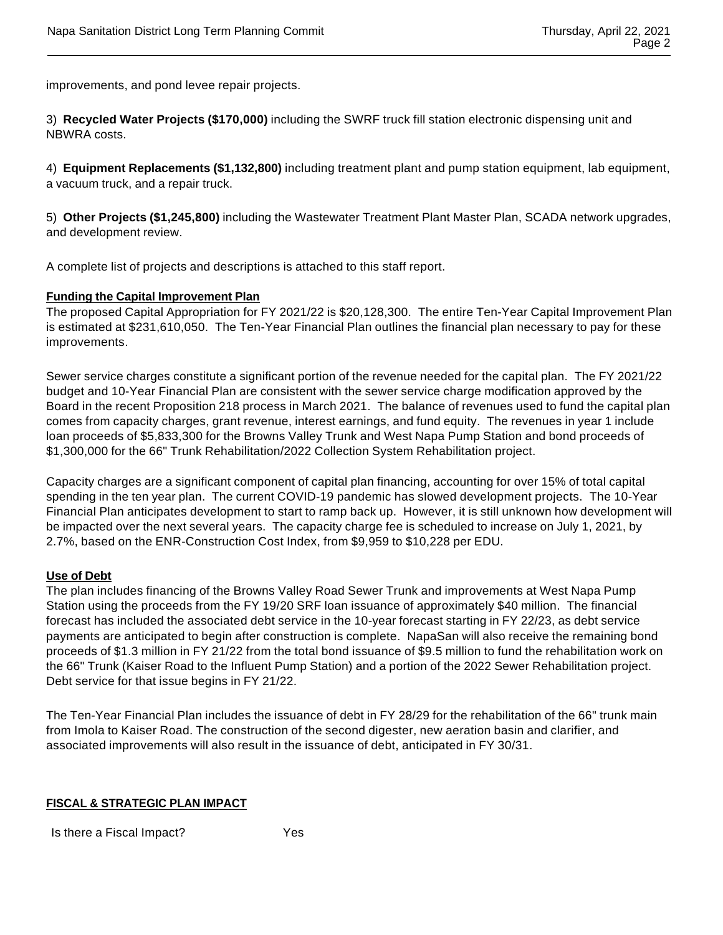improvements, and pond levee repair projects.

3) **Recycled Water Projects (\$170,000)** including the SWRF truck fill station electronic dispensing unit and NBWRA costs.

4) **Equipment Replacements (\$1,132,800)** including treatment plant and pump station equipment, lab equipment, a vacuum truck, and a repair truck.

5) **Other Projects (\$1,245,800)** including the Wastewater Treatment Plant Master Plan, SCADA network upgrades, and development review.

A complete list of projects and descriptions is attached to this staff report.

#### **Funding the Capital Improvement Plan**

The proposed Capital Appropriation for FY 2021/22 is \$20,128,300. The entire Ten-Year Capital Improvement Plan is estimated at \$231,610,050. The Ten-Year Financial Plan outlines the financial plan necessary to pay for these improvements.

Sewer service charges constitute a significant portion of the revenue needed for the capital plan. The FY 2021/22 budget and 10-Year Financial Plan are consistent with the sewer service charge modification approved by the Board in the recent Proposition 218 process in March 2021. The balance of revenues used to fund the capital plan comes from capacity charges, grant revenue, interest earnings, and fund equity. The revenues in year 1 include loan proceeds of \$5,833,300 for the Browns Valley Trunk and West Napa Pump Station and bond proceeds of \$1,300,000 for the 66" Trunk Rehabilitation/2022 Collection System Rehabilitation project.

Capacity charges are a significant component of capital plan financing, accounting for over 15% of total capital spending in the ten year plan. The current COVID-19 pandemic has slowed development projects. The 10-Year Financial Plan anticipates development to start to ramp back up. However, it is still unknown how development will be impacted over the next several years. The capacity charge fee is scheduled to increase on July 1, 2021, by 2.7%, based on the ENR-Construction Cost Index, from \$9,959 to \$10,228 per EDU.

#### **Use of Debt**

The plan includes financing of the Browns Valley Road Sewer Trunk and improvements at West Napa Pump Station using the proceeds from the FY 19/20 SRF loan issuance of approximately \$40 million. The financial forecast has included the associated debt service in the 10-year forecast starting in FY 22/23, as debt service payments are anticipated to begin after construction is complete. NapaSan will also receive the remaining bond proceeds of \$1.3 million in FY 21/22 from the total bond issuance of \$9.5 million to fund the rehabilitation work on the 66" Trunk (Kaiser Road to the Influent Pump Station) and a portion of the 2022 Sewer Rehabilitation project. Debt service for that issue begins in FY 21/22.

The Ten-Year Financial Plan includes the issuance of debt in FY 28/29 for the rehabilitation of the 66" trunk main from Imola to Kaiser Road. The construction of the second digester, new aeration basin and clarifier, and associated improvements will also result in the issuance of debt, anticipated in FY 30/31.

## **FISCAL & STRATEGIC PLAN IMPACT**

Is there a Fiscal Impact? Yes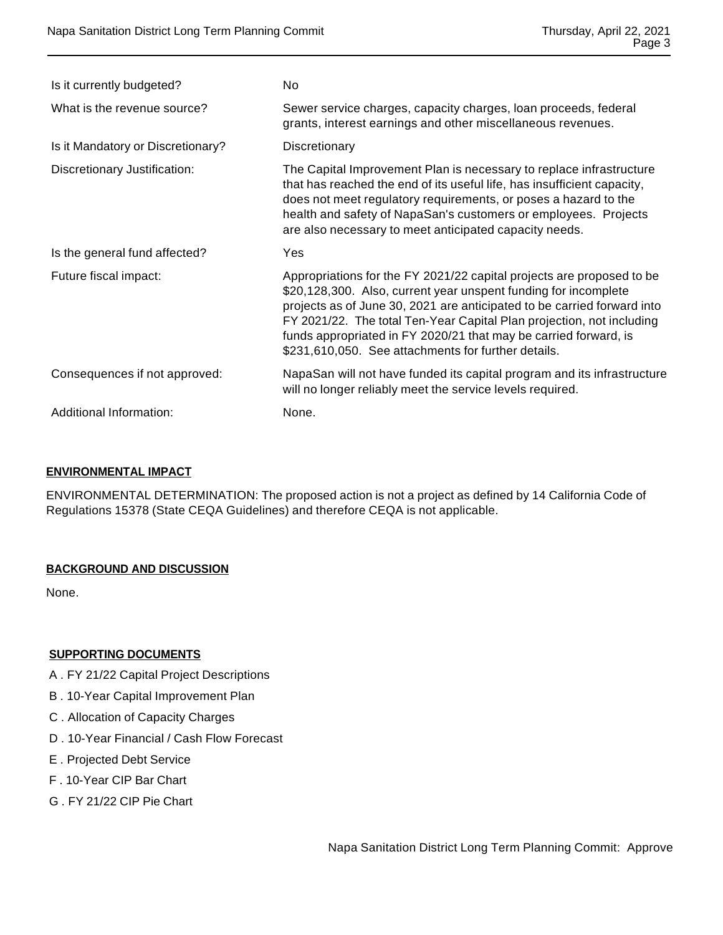| Is it currently budgeted?         | No                                                                                                                                                                                                                                                                                                                                                                                                                      |
|-----------------------------------|-------------------------------------------------------------------------------------------------------------------------------------------------------------------------------------------------------------------------------------------------------------------------------------------------------------------------------------------------------------------------------------------------------------------------|
| What is the revenue source?       | Sewer service charges, capacity charges, loan proceeds, federal<br>grants, interest earnings and other miscellaneous revenues.                                                                                                                                                                                                                                                                                          |
| Is it Mandatory or Discretionary? | Discretionary                                                                                                                                                                                                                                                                                                                                                                                                           |
| Discretionary Justification:      | The Capital Improvement Plan is necessary to replace infrastructure<br>that has reached the end of its useful life, has insufficient capacity,<br>does not meet regulatory requirements, or poses a hazard to the<br>health and safety of NapaSan's customers or employees. Projects<br>are also necessary to meet anticipated capacity needs.                                                                          |
| Is the general fund affected?     | Yes                                                                                                                                                                                                                                                                                                                                                                                                                     |
| Future fiscal impact:             | Appropriations for the FY 2021/22 capital projects are proposed to be<br>\$20,128,300. Also, current year unspent funding for incomplete<br>projects as of June 30, 2021 are anticipated to be carried forward into<br>FY 2021/22. The total Ten-Year Capital Plan projection, not including<br>funds appropriated in FY 2020/21 that may be carried forward, is<br>\$231,610,050. See attachments for further details. |
| Consequences if not approved:     | NapaSan will not have funded its capital program and its infrastructure<br>will no longer reliably meet the service levels required.                                                                                                                                                                                                                                                                                    |
| Additional Information:           | None.                                                                                                                                                                                                                                                                                                                                                                                                                   |

## **ENVIRONMENTAL IMPACT**

ENVIRONMENTAL DETERMINATION: The proposed action is not a project as defined by 14 California Code of Regulations 15378 (State CEQA Guidelines) and therefore CEQA is not applicable.

## **BACKGROUND AND DISCUSSION**

None.

## **SUPPORTING DOCUMENTS**

- A . FY 21/22 Capital Project Descriptions
- B . 10-Year Capital Improvement Plan
- C . Allocation of Capacity Charges
- D . 10-Year Financial / Cash Flow Forecast
- E . Projected Debt Service
- F . 10-Year CIP Bar Chart
- G . FY 21/22 CIP Pie Chart